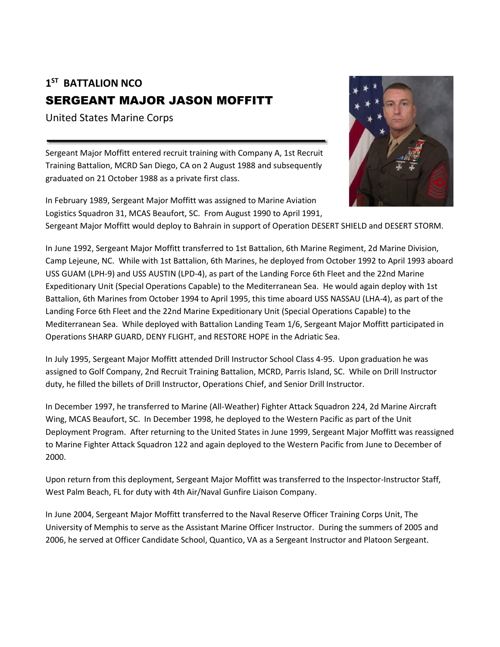## **1 ST BATTALION NCO** SERGEANT MAJOR JASON MOFFITT

United States Marine Corps

Sergeant Major Moffitt entered recruit training with Company A, 1st Recruit Training Battalion, MCRD San Diego, CA on 2 August 1988 and subsequently graduated on 21 October 1988 as a private first class.

In February 1989, Sergeant Major Moffitt was assigned to Marine Aviation Logistics Squadron 31, MCAS Beaufort, SC. From August 1990 to April 1991,



Sergeant Major Moffitt would deploy to Bahrain in support of Operation DESERT SHIELD and DESERT STORM.

In June 1992, Sergeant Major Moffitt transferred to 1st Battalion, 6th Marine Regiment, 2d Marine Division, Camp Lejeune, NC. While with 1st Battalion, 6th Marines, he deployed from October 1992 to April 1993 aboard USS GUAM (LPH-9) and USS AUSTIN (LPD-4), as part of the Landing Force 6th Fleet and the 22nd Marine Expeditionary Unit (Special Operations Capable) to the Mediterranean Sea. He would again deploy with 1st Battalion, 6th Marines from October 1994 to April 1995, this time aboard USS NASSAU (LHA-4), as part of the Landing Force 6th Fleet and the 22nd Marine Expeditionary Unit (Special Operations Capable) to the Mediterranean Sea. While deployed with Battalion Landing Team 1/6, Sergeant Major Moffitt participated in Operations SHARP GUARD, DENY FLIGHT, and RESTORE HOPE in the Adriatic Sea.

In July 1995, Sergeant Major Moffitt attended Drill Instructor School Class 4-95. Upon graduation he was assigned to Golf Company, 2nd Recruit Training Battalion, MCRD, Parris Island, SC. While on Drill Instructor duty, he filled the billets of Drill Instructor, Operations Chief, and Senior Drill Instructor.

In December 1997, he transferred to Marine (All-Weather) Fighter Attack Squadron 224, 2d Marine Aircraft Wing, MCAS Beaufort, SC. In December 1998, he deployed to the Western Pacific as part of the Unit Deployment Program. After returning to the United States in June 1999, Sergeant Major Moffitt was reassigned to Marine Fighter Attack Squadron 122 and again deployed to the Western Pacific from June to December of 2000.

Upon return from this deployment, Sergeant Major Moffitt was transferred to the Inspector-Instructor Staff, West Palm Beach, FL for duty with 4th Air/Naval Gunfire Liaison Company.

In June 2004, Sergeant Major Moffitt transferred to the Naval Reserve Officer Training Corps Unit, The University of Memphis to serve as the Assistant Marine Officer Instructor. During the summers of 2005 and 2006, he served at Officer Candidate School, Quantico, VA as a Sergeant Instructor and Platoon Sergeant.